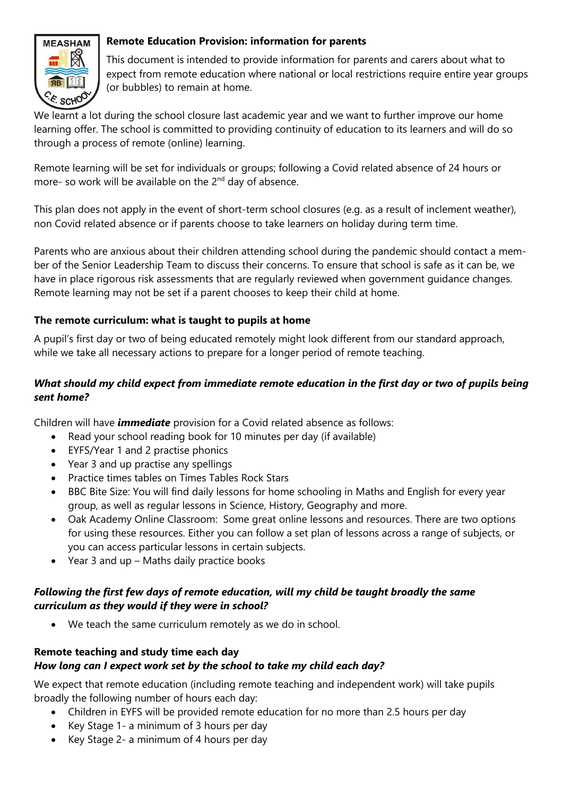

## **Remote Education Provision: information for parents**

This document is intended to provide information for parents and carers about what to expect from remote education where national or local restrictions require entire year groups (or bubbles) to remain at home.

We learnt a lot during the school closure last academic year and we want to further improve our home learning offer. The school is committed to providing continuity of education to its learners and will do so through a process of remote (online) learning.

Remote learning will be set for individuals or groups; following a Covid related absence of 24 hours or more- so work will be available on the 2<sup>nd</sup> day of absence.

This plan does not apply in the event of short-term school closures (e.g. as a result of inclement weather), non Covid related absence or if parents choose to take learners on holiday during term time.

Parents who are anxious about their children attending school during the pandemic should contact a member of the Senior Leadership Team to discuss their concerns. To ensure that school is safe as it can be, we have in place rigorous risk assessments that are regularly reviewed when government guidance changes. Remote learning may not be set if a parent chooses to keep their child at home.

## **The remote curriculum: what is taught to pupils at home**

A pupil's first day or two of being educated remotely might look different from our standard approach, while we take all necessary actions to prepare for a longer period of remote teaching.

# *What should my child expect from immediate remote education in the first day or two of pupils being sent home?*

Children will have *immediate* provision for a Covid related absence as follows:

- Read your school reading book for 10 minutes per day (if available)
- EYFS/Year 1 and 2 practise phonics
- Year 3 and up practise any spellings
- Practice times tables on Times Tables Rock Stars
- BBC Bite Size: You will find daily lessons for home schooling in Maths and English for every year group, as well as regular lessons in Science, History, Geography and more.
- Oak Academy Online Classroom: Some great online lessons and resources. There are two options for using these resources. Either you can follow a set plan of lessons across a range of subjects, or you can access particular lessons in certain subjects.
- Year 3 and up Maths daily practice books

## *Following the first few days of remote education, will my child be taught broadly the same curriculum as they would if they were in school?*

We teach the same curriculum remotely as we do in school.

# **Remote teaching and study time each day** *How long can I expect work set by the school to take my child each day?*

We expect that remote education (including remote teaching and independent work) will take pupils broadly the following number of hours each day:

- Children in EYFS will be provided remote education for no more than 2.5 hours per day
- Key Stage 1- a minimum of 3 hours per day
- Key Stage 2- a minimum of 4 hours per day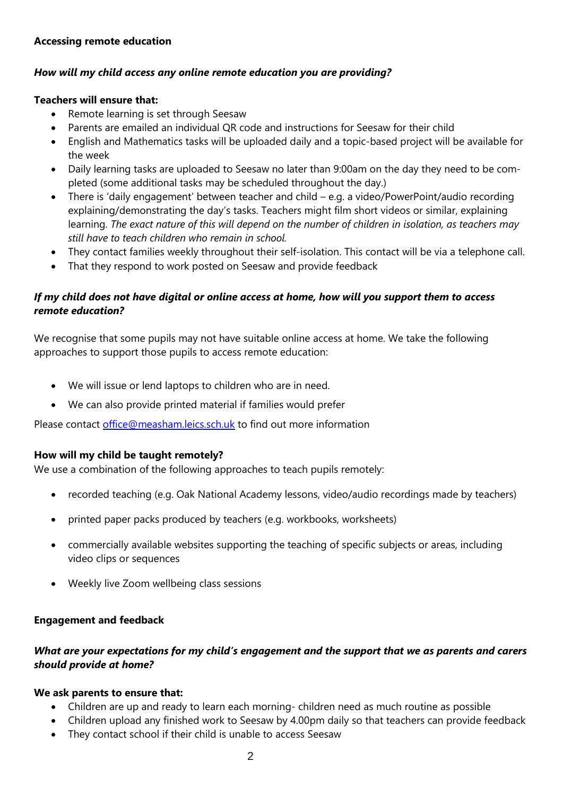### **Accessing remote education**

## *How will my child access any online remote education you are providing?*

#### **Teachers will ensure that:**

- Remote learning is set through Seesaw
- Parents are emailed an individual QR code and instructions for Seesaw for their child
- English and Mathematics tasks will be uploaded daily and a topic-based project will be available for the week
- Daily learning tasks are uploaded to Seesaw no later than 9:00am on the day they need to be completed (some additional tasks may be scheduled throughout the day.)
- There is 'daily engagement' between teacher and child e.g. a video/PowerPoint/audio recording explaining/demonstrating the day's tasks. Teachers might film short videos or similar, explaining learning. *The exact nature of this will depend on the number of children in isolation, as teachers may still have to teach children who remain in school.*
- They contact families weekly throughout their self-isolation. This contact will be via a telephone call.
- That they respond to work posted on Seesaw and provide feedback

## *If my child does not have digital or online access at home, how will you support them to access remote education?*

We recognise that some pupils may not have suitable online access at home. We take the following approaches to support those pupils to access remote education:

- We will issue or lend laptops to children who are in need.
- We can also provide printed material if families would prefer

Please contact [office@measham.leics.sch.uk](mailto:office@measham.leics.sch.uk) to find out more information

#### **How will my child be taught remotely?**

We use a combination of the following approaches to teach pupils remotely:

- recorded teaching (e.g. Oak National Academy lessons, video/audio recordings made by teachers)
- printed paper packs produced by teachers (e.g. workbooks, worksheets)
- commercially available websites supporting the teaching of specific subjects or areas, including video clips or sequences
- Weekly live Zoom wellbeing class sessions

#### **Engagement and feedback**

## *What are your expectations for my child's engagement and the support that we as parents and carers should provide at home?*

#### **We ask parents to ensure that:**

- Children are up and ready to learn each morning- children need as much routine as possible
- Children upload any finished work to Seesaw by 4.00pm daily so that teachers can provide feedback
- They contact school if their child is unable to access Seesaw